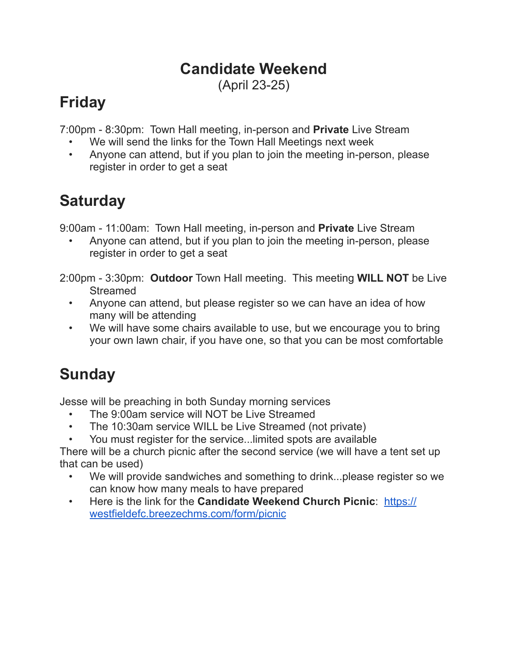#### **Candidate Weekend**

(April 23-25)

## **Friday**

7:00pm - 8:30pm: Town Hall meeting, in-person and **Private** Live Stream

- We will send the links for the Town Hall Meetings next week
- Anyone can attend, but if you plan to join the meeting in-person, please register in order to get a seat

### **Saturday**

9:00am - 11:00am: Town Hall meeting, in-person and **Private** Live Stream

• Anyone can attend, but if you plan to join the meeting in-person, please register in order to get a seat

2:00pm - 3:30pm: **Outdoor** Town Hall meeting. This meeting **WILL NOT** be Live **Streamed** 

- Anyone can attend, but please register so we can have an idea of how many will be attending
- We will have some chairs available to use, but we encourage you to bring your own lawn chair, if you have one, so that you can be most comfortable

# **Sunday**

Jesse will be preaching in both Sunday morning services

- The 9:00am service will NOT be Live Streamed
- The 10:30am service WILL be Live Streamed (not private)
- You must register for the service...limited spots are available

There will be a church picnic after the second service (we will have a tent set up that can be used)

- We will provide sandwiches and something to drink...please register so we can know how many meals to have prepared
- Here is the link for the **Candidate Weekend Church Picnic**: [https://](https://westfieldefc.breezechms.com/form/picnic) [westfieldefc.breezechms.com/form/picnic](https://westfieldefc.breezechms.com/form/picnic)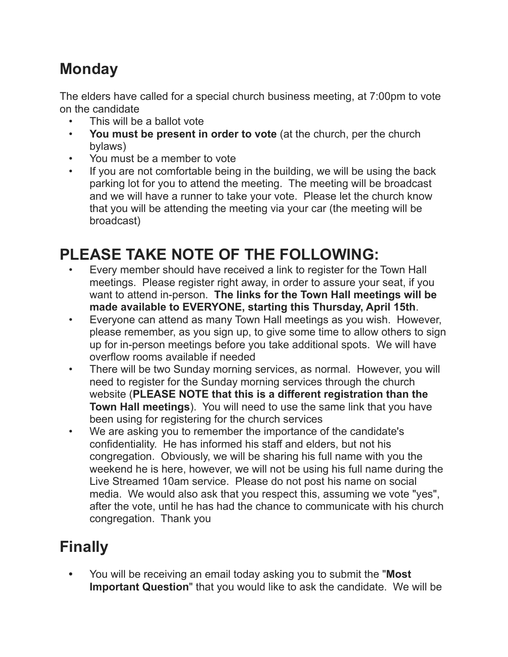#### **Monday**

The elders have called for a special church business meeting, at 7:00pm to vote on the candidate

- This will be a ballot vote
- **You must be present in order to vote** (at the church, per the church bylaws)
- You must be a member to vote
- If you are not comfortable being in the building, we will be using the back parking lot for you to attend the meeting. The meeting will be broadcast and we will have a runner to take your vote. Please let the church know that you will be attending the meeting via your car (the meeting will be broadcast)

## **PLEASE TAKE NOTE OF THE FOLLOWING:**

- Every member should have received a link to register for the Town Hall meetings. Please register right away, in order to assure your seat, if you want to attend in-person. **The links for the Town Hall meetings will be made available to EVERYONE, starting this Thursday, April 15th**.
- Everyone can attend as many Town Hall meetings as you wish. However, please remember, as you sign up, to give some time to allow others to sign up for in-person meetings before you take additional spots. We will have overflow rooms available if needed
- There will be two Sunday morning services, as normal. However, you will need to register for the Sunday morning services through the church website (**PLEASE NOTE that this is a different registration than the Town Hall meetings**). You will need to use the same link that you have been using for registering for the church services
- We are asking you to remember the importance of the candidate's confidentiality. He has informed his staff and elders, but not his congregation. Obviously, we will be sharing his full name with you the weekend he is here, however, we will not be using his full name during the Live Streamed 10am service. Please do not post his name on social media. We would also ask that you respect this, assuming we vote "yes", after the vote, until he has had the chance to communicate with his church congregation. Thank you

#### **Finally**

**•** You will be receiving an email today asking you to submit the "**Most Important Question**" that you would like to ask the candidate. We will be